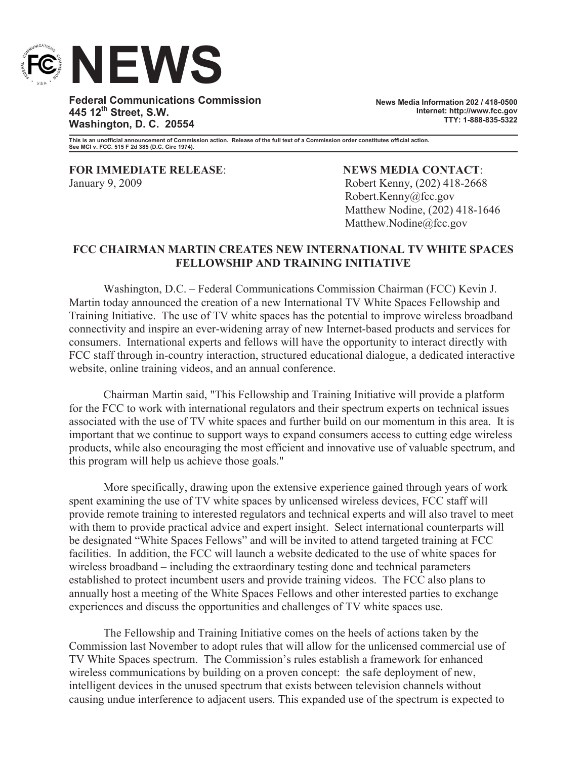

**Federal Communications Commission 445 12th Street, S.W. Washington, D. C. 20554**

**News Media Information 202 / 418-0500 Internet: http://www.fcc.gov TTY: 1-888-835-5322**

**This is an unofficial announcement of Commission action. Release of the full text of a Commission order constitutes official action. See MCI v. FCC. 515 F 2d 385 (D.C. Circ 1974).**

**FOR IMMEDIATE RELEASE**: **NEWS MEDIA CONTACT**: January 9, 2009 Robert Kenny, (202) 418-2668

Robert.Kenny@fcc.gov Matthew Nodine, (202) 418-1646 Matthew.Nodine@fcc.gov

## **FCC CHAIRMAN MARTIN CREATES NEW INTERNATIONAL TV WHITE SPACES FELLOWSHIP AND TRAINING INITIATIVE**

Washington, D.C. – Federal Communications Commission Chairman (FCC) Kevin J. Martin today announced the creation of a new International TV White Spaces Fellowship and Training Initiative. The use of TV white spaces has the potential to improve wireless broadband connectivity and inspire an ever-widening array of new Internet-based products and services for consumers. International experts and fellows will have the opportunity to interact directly with FCC staff through in-country interaction, structured educational dialogue, a dedicated interactive website, online training videos, and an annual conference.

Chairman Martin said, "This Fellowship and Training Initiative will provide a platform for the FCC to work with international regulators and their spectrum experts on technical issues associated with the use of TV white spaces and further build on our momentum in this area. It is important that we continue to support ways to expand consumers access to cutting edge wireless products, while also encouraging the most efficient and innovative use of valuable spectrum, and this program will help us achieve those goals."

More specifically, drawing upon the extensive experience gained through years of work spent examining the use of TV white spaces by unlicensed wireless devices, FCC staff will provide remote training to interested regulators and technical experts and will also travel to meet with them to provide practical advice and expert insight. Select international counterparts will be designated "White Spaces Fellows" and will be invited to attend targeted training at FCC facilities. In addition, the FCC will launch a website dedicated to the use of white spaces for wireless broadband – including the extraordinary testing done and technical parameters established to protect incumbent users and provide training videos. The FCC also plans to annually host a meeting of the White Spaces Fellows and other interested parties to exchange experiences and discuss the opportunities and challenges of TV white spaces use.

The Fellowship and Training Initiative comes on the heels of actions taken by the Commission last November to adopt rules that will allow for the unlicensed commercial use of TV White Spaces spectrum. The Commission's rules establish a framework for enhanced wireless communications by building on a proven concept: the safe deployment of new, intelligent devices in the unused spectrum that exists between television channels without causing undue interference to adjacent users. This expanded use of the spectrum is expected to